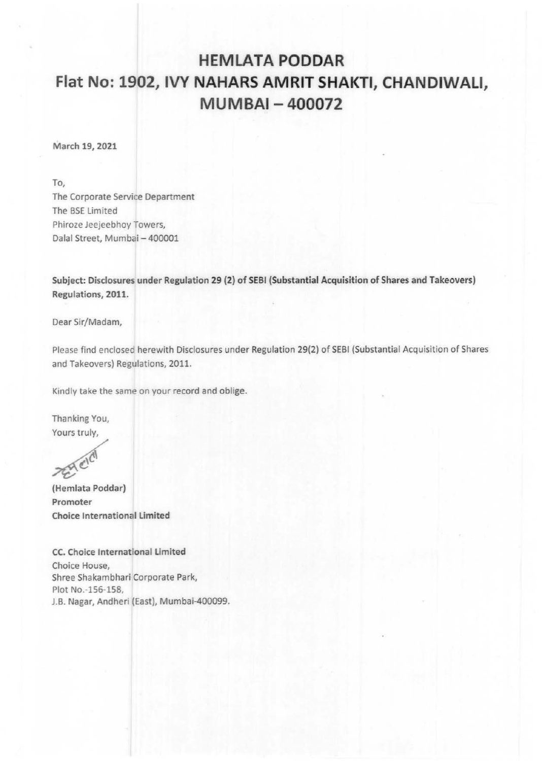## **HEMLATA PODDAR Flat No: 1902, IVY NAHARS AMRIT SHAKTI, CHANDIWALI, MUMBAI- 400072**

March 19, 2021

To,

The Corporate Service Department The BSE limited Phiroze Jeejeebhoy Towers, Dalal Street, Mumbai- 400001

Subject: Disclosures under Regulation 29 (2) of SEBI (Substantial Acquisition of Shares and Takeovers) Regulations, 2011.

Dear Sir/Madam,

Please find enclosec herewith Disclosures under Regulation 29(2) of SEBI (Substantial Acquisition of Shares and Takeovers) Regulations, 2011.

Kindly take the same on your record and oblige.

Thanking You, Yours truly,

 $\chi^{(C)}$ (Hemlata Poddar)

Promoter Choice International limited

CC. Choice International limited Choice House, Shree Shakambhari Corporate Park, Plot No.-156-158, J.B. Nagar, Andheri (East), Mumbai-400099.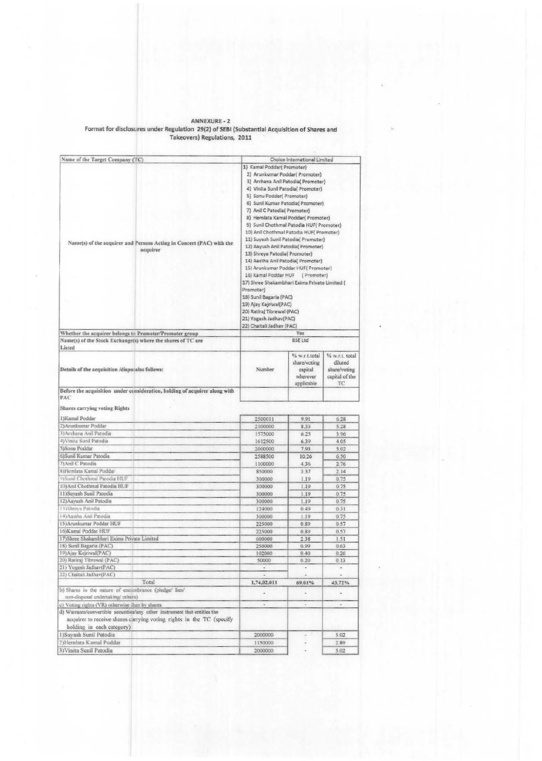## ANNEXURE - 2<br>Format for disclosures under Regulation 29(2) of SEBI (Substantial Acquisition of Shares and<br>Takeovers) Regulations, 2011

| Name of the Target Company (TC)                                            | Choice International Limited                                                                                                                                                                                                                                                                                           |                                          |                          |  |                        |                           |
|----------------------------------------------------------------------------|------------------------------------------------------------------------------------------------------------------------------------------------------------------------------------------------------------------------------------------------------------------------------------------------------------------------|------------------------------------------|--------------------------|--|------------------------|---------------------------|
|                                                                            | 1) Kamal Poddar( Promoter)                                                                                                                                                                                                                                                                                             |                                          |                          |  |                        |                           |
|                                                                            |                                                                                                                                                                                                                                                                                                                        | 2) Arunkumar Poddar( Promoter)           |                          |  |                        |                           |
|                                                                            | 3) Archana Anil Patodia( Promoter)<br>4) Vinita Sunil Patodia( Promoter)<br>5) Sonu Poddar( Promoter)                                                                                                                                                                                                                  |                                          |                          |  |                        |                           |
|                                                                            |                                                                                                                                                                                                                                                                                                                        |                                          |                          |  |                        |                           |
|                                                                            |                                                                                                                                                                                                                                                                                                                        |                                          |                          |  |                        |                           |
|                                                                            |                                                                                                                                                                                                                                                                                                                        | 6) Sunil Kumar Patodia( Promoter)        |                          |  |                        |                           |
|                                                                            |                                                                                                                                                                                                                                                                                                                        |                                          |                          |  |                        |                           |
|                                                                            | 7) Anil C Patodia( Promoter)<br>8) Hemlata Kamal Poddar(Promoter)                                                                                                                                                                                                                                                      |                                          |                          |  |                        |                           |
|                                                                            |                                                                                                                                                                                                                                                                                                                        |                                          |                          |  |                        |                           |
|                                                                            | 9) Sunil Chothmal Patodia HUF( Promoter)                                                                                                                                                                                                                                                                               |                                          |                          |  |                        |                           |
|                                                                            |                                                                                                                                                                                                                                                                                                                        | 10) Anil Chothmal Patodia HUF( Promoter) |                          |  |                        |                           |
| Name(s) of the acquirer and Persons Acting in Concert (PAC) with the       | 11) Suyash Sunil Patodia( Promoter)<br>12) Aayush Anil Patodia( Promoter)<br>13) Shreya Patodia( Promoter)<br>14) Aastha Anii Patodia( Promoter)<br>15) Arunkumar Poddar HUF( Promoter)<br>16) Kamal Poddar HUF<br>(Promoter)<br>17) Shree Shakambhari Exims Private Limited (<br>Promoter)<br>18) Sunil Bagaria (PAC) |                                          |                          |  |                        |                           |
| acquirer                                                                   |                                                                                                                                                                                                                                                                                                                        |                                          |                          |  |                        |                           |
|                                                                            |                                                                                                                                                                                                                                                                                                                        |                                          |                          |  |                        |                           |
|                                                                            |                                                                                                                                                                                                                                                                                                                        |                                          |                          |  |                        |                           |
|                                                                            |                                                                                                                                                                                                                                                                                                                        |                                          |                          |  |                        |                           |
|                                                                            |                                                                                                                                                                                                                                                                                                                        |                                          |                          |  |                        |                           |
|                                                                            |                                                                                                                                                                                                                                                                                                                        |                                          |                          |  | 19) Ajay Kejriwal(PAC) |                           |
| 20) Ratiraj Tibrewal (PAC)<br>21) Yogesh Jadhav(PAC)                       |                                                                                                                                                                                                                                                                                                                        |                                          |                          |  |                        |                           |
|                                                                            |                                                                                                                                                                                                                                                                                                                        |                                          |                          |  |                        | 22) Chaitali Jadhav (PAC) |
| Whether the acquirer belongs to Promoter/Promoter group                    |                                                                                                                                                                                                                                                                                                                        | Yes                                      |                          |  |                        |                           |
| Name(s) of the Stock Exchange(s) where the shares of TC are                |                                                                                                                                                                                                                                                                                                                        | <b>BSE Ltd</b>                           |                          |  |                        |                           |
| Listed                                                                     |                                                                                                                                                                                                                                                                                                                        |                                          |                          |  |                        |                           |
|                                                                            |                                                                                                                                                                                                                                                                                                                        | % w.r.t.total                            | % w.r.t. total           |  |                        |                           |
|                                                                            |                                                                                                                                                                                                                                                                                                                        | share/voting                             | diluted                  |  |                        |                           |
| Details of the acquisition /disposalas follows:                            | Number                                                                                                                                                                                                                                                                                                                 | capital                                  | share/voting             |  |                        |                           |
|                                                                            |                                                                                                                                                                                                                                                                                                                        | wherever                                 | capital of the           |  |                        |                           |
|                                                                            |                                                                                                                                                                                                                                                                                                                        | applicable                               | ТC                       |  |                        |                           |
| Before the acquisition under consideration, holding of acquirer along with |                                                                                                                                                                                                                                                                                                                        |                                          |                          |  |                        |                           |
| PAC                                                                        |                                                                                                                                                                                                                                                                                                                        |                                          |                          |  |                        |                           |
| Shares carrying voting Rights                                              |                                                                                                                                                                                                                                                                                                                        |                                          |                          |  |                        |                           |
| HKamal Poddar                                                              |                                                                                                                                                                                                                                                                                                                        |                                          |                          |  |                        |                           |
| 2) Arunkumar Poddar                                                        | 2500011                                                                                                                                                                                                                                                                                                                | 9.91                                     | 6.28                     |  |                        |                           |
|                                                                            | 2100000                                                                                                                                                                                                                                                                                                                | 8.33                                     | 5.28                     |  |                        |                           |
| 3) Archana Anil Patodia                                                    | 1575000                                                                                                                                                                                                                                                                                                                | 6.25                                     | 3.96                     |  |                        |                           |
| 4) Vinita Sunil Patodia                                                    | 1612500                                                                                                                                                                                                                                                                                                                | 6.39                                     | 4.05                     |  |                        |                           |
| 5) Sonu Poddar                                                             | 2000000                                                                                                                                                                                                                                                                                                                | 7.93                                     | 5.02                     |  |                        |                           |
| 6)Sunil Kumar Patodia                                                      | 2588500                                                                                                                                                                                                                                                                                                                | 10.26                                    | 6.50                     |  |                        |                           |
| 7) Anil C Patodia                                                          | 1100000                                                                                                                                                                                                                                                                                                                | 436                                      | 2.76                     |  |                        |                           |
| SiHemlata Kamal Poddar                                                     | 850000                                                                                                                                                                                                                                                                                                                 | 3.37                                     | 2.14                     |  |                        |                           |
| 91Sunil Chothmal Patodia HUF                                               | 300000                                                                                                                                                                                                                                                                                                                 | 1.19                                     | 0.75                     |  |                        |                           |
| 10) Anil Chothmal Patodia HUF                                              | 300000                                                                                                                                                                                                                                                                                                                 | 1.19                                     | 0.75                     |  |                        |                           |
| 11) Suyash Sunil Patodia                                                   | 300000                                                                                                                                                                                                                                                                                                                 | 1.19                                     | 0.75                     |  |                        |                           |
| 12) Aayush Anil Patodia                                                    |                                                                                                                                                                                                                                                                                                                        |                                          |                          |  |                        |                           |
|                                                                            | 300000                                                                                                                                                                                                                                                                                                                 | 1.19                                     | 0.75                     |  |                        |                           |
| 13) Shreya Patodia                                                         | 124000                                                                                                                                                                                                                                                                                                                 | 0.49                                     | 0.31                     |  |                        |                           |
| 14) Aastha Anil Patodia                                                    | 300000                                                                                                                                                                                                                                                                                                                 | 1.19                                     | 0.75                     |  |                        |                           |
| 15) Arunkumar Poddar HUF                                                   | 225000                                                                                                                                                                                                                                                                                                                 | 0.89                                     | 0.57                     |  |                        |                           |
| 16) Kamal Poddar HUF                                                       | 225000                                                                                                                                                                                                                                                                                                                 | 0.89                                     | 0.57                     |  |                        |                           |
| 17) Shree Shakambhari Exims Private Limited                                | 600000                                                                                                                                                                                                                                                                                                                 | 2.38                                     | 1.51                     |  |                        |                           |
| 18) Sunil Bagaria (PAC)                                                    | 250000                                                                                                                                                                                                                                                                                                                 | 0.99                                     | 0.63                     |  |                        |                           |
| 19) Ajay Kejriwal(PAC)                                                     | 102000                                                                                                                                                                                                                                                                                                                 | 0.40                                     | 0.26                     |  |                        |                           |
| 20) Ratiraj Tibrewal (PAC)                                                 | 50000                                                                                                                                                                                                                                                                                                                  | 0,20                                     | 0.13                     |  |                        |                           |
| 21) Yogesh Jadhav(PAC)                                                     | ä                                                                                                                                                                                                                                                                                                                      | $\overline{a}$                           | $\overline{\phantom{a}}$ |  |                        |                           |
| 22) Chaitali Jadhav(PAC)                                                   | ٠                                                                                                                                                                                                                                                                                                                      | ¥                                        | $\alpha$                 |  |                        |                           |
| Total                                                                      | 1,74,02,011                                                                                                                                                                                                                                                                                                            | 69.01%                                   | 43.72%                   |  |                        |                           |
| b) Shares in the nature of encumbrance (pledge/ lien/                      |                                                                                                                                                                                                                                                                                                                        |                                          |                          |  |                        |                           |
| non-disposal undertaking/others)                                           | $\overline{\phantom{a}}$                                                                                                                                                                                                                                                                                               |                                          | $\tilde{\phantom{a}}$    |  |                        |                           |
| c) Voting rights (VR) otherwise than by shares                             | ٠                                                                                                                                                                                                                                                                                                                      | $\overline{\phantom{a}}$                 | ٠                        |  |                        |                           |
| d) Warrants/convertible securities/any other instrument that entitles the  |                                                                                                                                                                                                                                                                                                                        |                                          |                          |  |                        |                           |
| acquirer to receive shares carrying voting rights in the TC (specify       |                                                                                                                                                                                                                                                                                                                        |                                          |                          |  |                        |                           |
| holding in each category)                                                  |                                                                                                                                                                                                                                                                                                                        |                                          |                          |  |                        |                           |
|                                                                            |                                                                                                                                                                                                                                                                                                                        |                                          |                          |  |                        |                           |
| 1) Suyash Sunil Patodia                                                    | 2000000                                                                                                                                                                                                                                                                                                                | ÷                                        | 5.02                     |  |                        |                           |
| 2)Hemlata Kamal Poddar                                                     | 1150000                                                                                                                                                                                                                                                                                                                |                                          | 2.89                     |  |                        |                           |
| 3) Vinita Sunil Patodia                                                    | 2000000                                                                                                                                                                                                                                                                                                                |                                          | 5.02                     |  |                        |                           |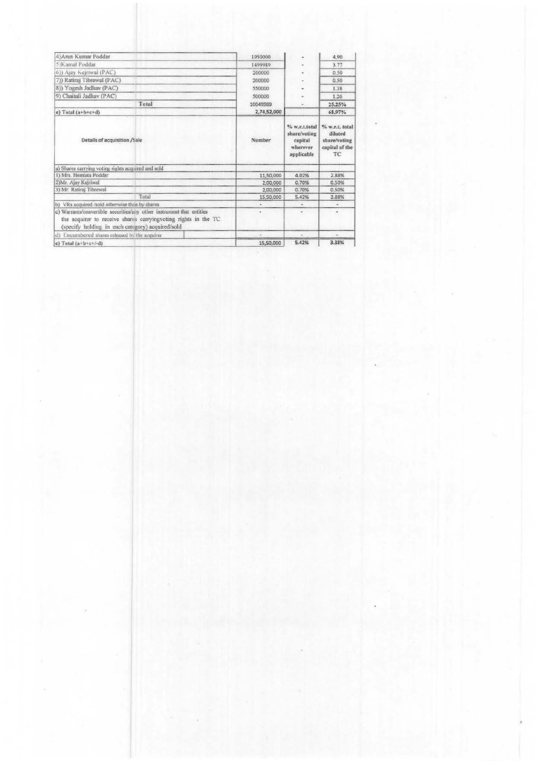| 4) Arun Kumar Poddar                                                                                                                                                                        | 1950000     |                                                                    | 4.90                                                              |
|---------------------------------------------------------------------------------------------------------------------------------------------------------------------------------------------|-------------|--------------------------------------------------------------------|-------------------------------------------------------------------|
| 5) Kamal Poddar                                                                                                                                                                             | 1499989     |                                                                    | 3.77                                                              |
| 6)) Ajay Kejriwal (PAC)                                                                                                                                                                     | 200000      |                                                                    | 0.50                                                              |
| 7)) Ratiraj Tibrewal (PAC)                                                                                                                                                                  | 200000      |                                                                    | 0,50                                                              |
| 8)) Yogesh Jadhav (PAC)                                                                                                                                                                     | 550000      |                                                                    | 1.38                                                              |
| 9) Chaitali Jadhav (PAC)                                                                                                                                                                    | 500000      |                                                                    | 1.26                                                              |
| Total                                                                                                                                                                                       | 10049989    |                                                                    | 25.25%                                                            |
| e) Total $(a+b+c+d)$                                                                                                                                                                        | 2,74,52,000 |                                                                    | 68.97%                                                            |
| Details of acquisition /Sale                                                                                                                                                                | Number      | % w.r.t.total<br>share/voting<br>capital<br>wherever<br>applicable | % w.r.t. total<br>diluted<br>share/voting<br>capital of the<br>TC |
| a) Shares carrying voting rights acquired and sold                                                                                                                                          |             |                                                                    |                                                                   |
| 1) Mrs. Hemlata Poddar                                                                                                                                                                      | 11,50,000   | 4.02%                                                              | 2.88%                                                             |
| 2)Mr. Ajay Kejriwal                                                                                                                                                                         | 2,00,000    | 0.70%                                                              | 0.50%                                                             |
| 3) Mr. Ratiraj Tibrewal                                                                                                                                                                     | 2,00,000    | 0.70%                                                              | 0.50%                                                             |
| Total                                                                                                                                                                                       | 15,50,000   | 5.42%                                                              | 3.88%                                                             |
| b) VRs acquired /sold otherwise than by shares                                                                                                                                              |             | $\sim$                                                             | $\sim$                                                            |
| c) Warrants/convertible securities/any other instrument that entitles<br>the acquirer to receive shares carryingvoting rights in the TC<br>(specify holding in each category) acquired/sold | ı           | $\scriptstyle\star$                                                | ٠                                                                 |
| d) Encumbered shares released by the acquirer                                                                                                                                               |             |                                                                    |                                                                   |
| e) Total $(a+b+c+/-d)$                                                                                                                                                                      | 15,50,000   | 5.42%                                                              | 3.38%                                                             |